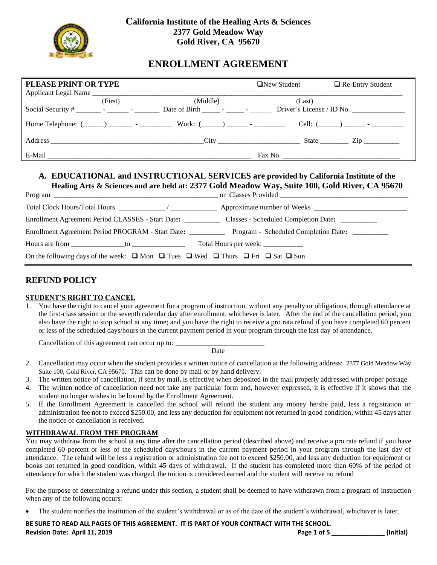

# **ENROLLMENT AGREEMENT**

| PLEASE PRINT OR TYPE |         |          | $\Box$ New Student | $\Box$ Re-Entry Student              |
|----------------------|---------|----------|--------------------|--------------------------------------|
| Applicant Legal Name | (First) | (Middle) | (Last)             |                                      |
|                      |         |          |                    | Driver's License / ID No.            |
|                      |         |          |                    | Cell: $($ $)$ $-$                    |
|                      |         |          |                    | State $\frac{\text{Zip}}{\text{Up}}$ |
| E-Mail               |         |          |                    |                                      |

## **A. EDUCATIONAL and INSTRUCTIONAL SERVICES are provided by California Institute of the Healing Arts & Sciences and are held at: 2377 Gold Meadow Way, Suite 100, Gold River, CA 95670**

| Enrollment Agreement Period CLASSES - Start Date:                                                                  | Classes - Scheduled Completion Date: _________ |
|--------------------------------------------------------------------------------------------------------------------|------------------------------------------------|
| Enrollment Agreement Period PROGRAM - Start Date: __________                                                       | Program - Scheduled Completion Date: _________ |
|                                                                                                                    |                                                |
| On the following days of the week: $\Box$ Mon $\Box$ Tues $\Box$ Wed $\Box$ Thurs $\Box$ Fri $\Box$ Sat $\Box$ Sun |                                                |

## **REFUND POLICY**

## **STUDENT'S RIGHT TO CANCEL**

1. You have the right to cancel your agreement for a program of instruction, without any penalty or obligations, through attendance at the first-class session or the seventh calendar day after enrollment, whichever is later. After the end of the cancellation period, you also have the right to stop school at any time; and you have the right to receive a pro rata refund if you have completed 60 percent or less of the scheduled days/hours in the current payment period in your program through the last day of attendance.

Cancellation of this agreement can occur up to:

**Date** 

- 2. Cancellation may occur when the student provides a written notice of cancellation at the following address: 2377 Gold Meadow Way Suite 100, Gold River, CA 95670. This can be done by mail or by hand delivery.
- 3. The written notice of cancellation, if sent by mail, is effective when deposited in the mail properly addressed with proper postage.
- 4. The written notice of cancellation need not take any particular form and, however expressed, it is effective if it shows that the student no longer wishes to be bound by the Enrollment Agreement.
- 5. If the Enrollment Agreement is cancelled the school will refund the student any money he/she paid, less a registration or administration fee not to exceed \$250.00, and less any deduction for equipment not returned in good condition, within 45 days after the notice of cancellation is received.

#### **WITHDRAWAL FROM THE PROGRAM**

You may withdraw from the school at any time after the cancellation period (described above) and receive a pro rata refund if you have completed 60 percent or less of the scheduled days/hours in the current payment period in your program through the last day of attendance. The refund will be less a registration or administration fee not to exceed \$250.00, and less any deduction for equipment or books not returned in good condition, within 45 days of withdrawal. If the student has completed more than 60% of the period of attendance for which the student was charged, the tuition is considered earned and the student will receive no refund

For the purpose of determining a refund under this section, a student shall be deemed to have withdrawn from a program of instruction when any of the following occurs:

The student notifies the institution of the student's withdrawal or as of the date of the student's withdrawal, whichever is later.

**BE SURE TO READ ALL PAGES OF THIS AGREEMENT. IT IS PART OF YOUR CONTRACT WITH THE SCHOOL**. **Revision Date: April 11, 2019****Page 1 of 5 \_\_\_\_\_\_\_\_\_\_\_\_\_\_\_ (Initial)**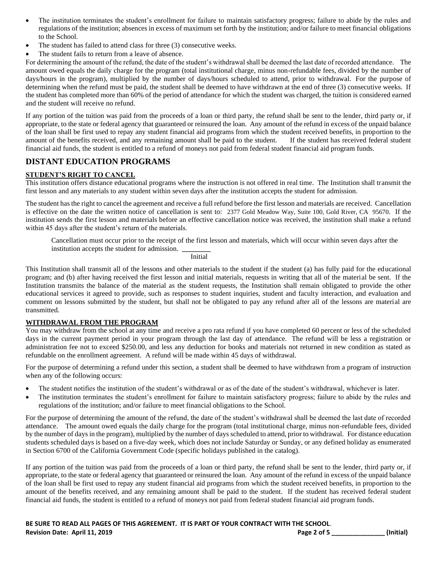- The institution terminates the student's enrollment for failure to maintain satisfactory progress; failure to abide by the rules and regulations of the institution; absences in excess of maximum set forth by the institution; and/or failure to meet financial obligations to the School.
- The student has failed to attend class for three (3) consecutive weeks.
- The student fails to return from a leave of absence.

For determining the amount of the refund, the date of the student's withdrawal shall be deemed the last date of recorded attendance. The amount owed equals the daily charge for the program (total institutional charge, minus non-refundable fees, divided by the number of days/hours in the program), multiplied by the number of days/hours scheduled to attend, prior to withdrawal. For the purpose of determining when the refund must be paid, the student shall be deemed to have withdrawn at the end of three (3) consecutive weeks. If the student has completed more than 60% of the period of attendance for which the student was charged, the tuition is considered earned and the student will receive no refund.

If any portion of the tuition was paid from the proceeds of a loan or third party, the refund shall be sent to the lender, third party or, if appropriate, to the state or federal agency that guaranteed or reinsured the loan. Any amount of the refund in excess of the unpaid balance of the loan shall be first used to repay any student financial aid programs from which the student received benefits, in proportion to the amount of the benefits received, and any remaining amount shall be paid to the student. If the student has received federal student financial aid funds, the student is entitled to a refund of moneys not paid from federal student financial aid program funds.

## **DISTANT EDUCATION PROGRAMS**

#### **STUDENT'S RIGHT TO CANCEL**

This institution offers distance educational programs where the instruction is not offered in real time. The Institution shall transmit the first lesson and any materials to any student within seven days after the institution accepts the student for admission.

The student has the right to cancel the agreement and receive a full refund before the first lesson and materials are received. Cancellation is effective on the date the written notice of cancellation is sent to: 2377 Gold Meadow Way, Suite 100, Gold River, CA 95670. If the institution sends the first lesson and materials before an effective cancellation notice was received, the institution shall make a refund within 45 days after the student's return of the materials.

Cancellation must occur prior to the receipt of the first lesson and materials, which will occur within seven days after the institution accepts the student for admission.

Initial

This Institution shall transmit all of the lessons and other materials to the student if the student (a) has fully paid for the educational program; and (b) after having received the first lesson and initial materials, requests in writing that all of the material be sent. If the Institution transmits the balance of the material as the student requests, the Institution shall remain obligated to provide the other educational services it agreed to provide, such as responses to student inquiries, student and faculty interaction, and evaluation and comment on lessons submitted by the student, but shall not be obligated to pay any refund after all of the lessons are material are transmitted.

#### **WITHDRAWAL FROM THE PROGRAM**

You may withdraw from the school at any time and receive a pro rata refund if you have completed 60 percent or less of the scheduled days in the current payment period in your program through the last day of attendance. The refund will be less a registration or administration fee not to exceed \$250.00, and less any deduction for books and materials not returned in new condition as stated as refundable on the enrollment agreement. A refund will be made within 45 days of withdrawal.

For the purpose of determining a refund under this section, a student shall be deemed to have withdrawn from a program of instruction when any of the following occurs:

- The student notifies the institution of the student's withdrawal or as of the date of the student's withdrawal, whichever is later.
- The institution terminates the student's enrollment for failure to maintain satisfactory progress; failure to abide by the rules and regulations of the institution; and/or failure to meet financial obligations to the School.

For the purpose of determining the amount of the refund, the date of the student's withdrawal shall be deemed the last date of recorded attendance. The amount owed equals the daily charge for the program (total institutional charge, minus non-refundable fees, divided by the number of days in the program), multiplied by the number of days scheduled to attend, prior to withdrawal. For distance education students scheduled days is based on a five-day week, which does not include Saturday or Sunday, or any defined holiday as enumerated in Section 6700 of the California Government Code (specific holidays published in the catalog).

If any portion of the tuition was paid from the proceeds of a loan or third party, the refund shall be sent to the lender, third party or, if appropriate, to the state or federal agency that guaranteed or reinsured the loan. Any amount of the refund in excess of the unpaid balance of the loan shall be first used to repay any student financial aid programs from which the student received benefits, in proportion to the amount of the benefits received, and any remaining amount shall be paid to the student. If the student has received federal student financial aid funds, the student is entitled to a refund of moneys not paid from federal student financial aid program funds.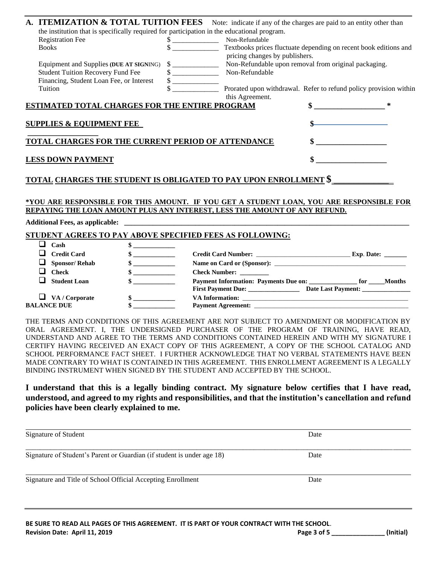| A. ITEMIZATION & TOTAL TUITION FEES                                                                                                                                                                                                    |                             |                                | Note: indicate if any of the charges are paid to an entity other than |  |
|----------------------------------------------------------------------------------------------------------------------------------------------------------------------------------------------------------------------------------------|-----------------------------|--------------------------------|-----------------------------------------------------------------------|--|
| the institution that is specifically required for participation in the educational program.                                                                                                                                            |                             |                                |                                                                       |  |
| <b>Registration Fee</b>                                                                                                                                                                                                                |                             | Non-Refundable                 |                                                                       |  |
| <b>Books</b>                                                                                                                                                                                                                           |                             | pricing changes by publishers. | Textbooks prices fluctuate depending on recent book editions and      |  |
| Equipment and Supplies (DUE AT SIGNING)                                                                                                                                                                                                | $\frac{\text{S}}{\text{S}}$ |                                | Non-Refundable upon removal from original packaging.                  |  |
| <b>Student Tuition Recovery Fund Fee</b>                                                                                                                                                                                               |                             | Non-Refundable                 |                                                                       |  |
| Financing, Student Loan Fee, or Interest                                                                                                                                                                                               |                             |                                |                                                                       |  |
| Tuition                                                                                                                                                                                                                                |                             | this Agreement.                | Prorated upon withdrawal. Refer to refund policy provision within     |  |
| ESTIMATED TOTAL CHARGES FOR THE ENTIRE PROGRAM                                                                                                                                                                                         |                             |                                | \$.                                                                   |  |
| <b>SUPPLIES &amp; EQUIPMENT FEE</b>                                                                                                                                                                                                    |                             |                                |                                                                       |  |
| TOTAL CHARGES FOR THE CURRENT PERIOD OF ATTENDANCE                                                                                                                                                                                     |                             |                                |                                                                       |  |
| <b>LESS DOWN PAYMENT</b>                                                                                                                                                                                                               |                             |                                |                                                                       |  |
| <u>TOTAL CHARGES THE STUDENT IS OBLIGATED TO PAY UPON ENROLLMENT \$_</u>                                                                                                                                                               |                             |                                |                                                                       |  |
| *YOU ARE RESPONSIBLE FOR THIS AMOUNT. IF YOU GET A STUDENT LOAN, YOU ARE RESPONSIBLE FOR                                                                                                                                               |                             |                                |                                                                       |  |
| REPAYING THE LOAN AMOUNT PLUS ANY INTEREST, LESS THE AMOUNT OF ANY REFUND.                                                                                                                                                             |                             |                                |                                                                       |  |
| $\mathbf{A}$ . The second contract of the second contract of the second contract of the second contract of the second contract of the second contract of the second contract of the second contract of the second contract of the<br>. |                             |                                |                                                                       |  |

## **Additional Fees, as applicable: \_\_\_\_\_\_\_\_\_\_\_\_\_\_\_\_\_\_\_\_\_\_\_\_\_\_\_\_\_\_\_\_\_\_\_\_\_\_\_\_\_\_\_\_\_\_\_\_\_\_\_\_\_\_\_\_\_\_\_\_\_\_\_\_\_\_\_\_\_\_\_\_\_\_\_\_\_\_\_\_**

## **STUDENT AGREES TO PAY ABOVE SPECIFIED FEES AS FOLLOWING:**

| Cash                                        |                                                                                                                                                                                                                                                                                                                               |                                     |
|---------------------------------------------|-------------------------------------------------------------------------------------------------------------------------------------------------------------------------------------------------------------------------------------------------------------------------------------------------------------------------------|-------------------------------------|
| <b>Credit Card</b>                          | $\mathbf{s}$ and $\mathbf{s}$ and $\mathbf{s}$ and $\mathbf{s}$ and $\mathbf{s}$ and $\mathbf{s}$ and $\mathbf{s}$ and $\mathbf{s}$ and $\mathbf{s}$ and $\mathbf{s}$ and $\mathbf{s}$ and $\mathbf{s}$ and $\mathbf{s}$ and $\mathbf{s}$ and $\mathbf{s}$ and $\mathbf{s}$ and $\mathbf{s}$ and $\mathbf{s}$ and $\mathbf{s$ | Credit Card Number:<br>Exp. Date:   |
| <b>Sponsor/Rehab</b>                        |                                                                                                                                                                                                                                                                                                                               | Name on Card or (Sponsor):          |
| <b>Check</b>                                |                                                                                                                                                                                                                                                                                                                               | Check Number: ________              |
| <b>Student Loan</b>                         | $\mathbf{s}$ and $\mathbf{s}$ and $\mathbf{s}$                                                                                                                                                                                                                                                                                | <b>Months</b><br>Date Last Payment: |
| $\Box$ VA / Corporate<br><b>BALANCE DUE</b> | $\mathbf{s}$                                                                                                                                                                                                                                                                                                                  | <b>Payment Agreement:</b>           |

THE TERMS AND CONDITIONS OF THIS AGREEMENT ARE NOT SUBJECT TO AMENDMENT OR MODIFICATION BY ORAL AGREEMENT. I, THE UNDERSIGNED PURCHASER OF THE PROGRAM OF TRAINING, HAVE READ, UNDERSTAND AND AGREE TO THE TERMS AND CONDITIONS CONTAINED HEREIN AND WITH MY SIGNATURE I CERTIFY HAVING RECEIVED AN EXACT COPY OF THIS AGREEMENT, A COPY OF THE SCHOOL CATALOG AND SCHOOL PERFORMANCE FACT SHEET. I FURTHER ACKNOWLEDGE THAT NO VERBAL STATEMENTS HAVE BEEN MADE CONTRARY TO WHAT IS CONTAINED IN THIS AGREEMENT. THIS ENROLLMENT AGREEMENT IS A LEGALLY BINDING INSTRUMENT WHEN SIGNED BY THE STUDENT AND ACCEPTED BY THE SCHOOL.

**I understand that this is a legally binding contract. My signature below certifies that I have read, understood, and agreed to my rights and responsibilities, and that the institution's cancellation and refund policies have been clearly explained to me.**

| Date |  |
|------|--|
| Date |  |
|      |  |
|      |  |

|                               | BE SURE TO READ ALL PAGES OF THIS AGREEMENT. IT IS PART OF YOUR CONTRACT WITH THE SCHOOL. |           |
|-------------------------------|-------------------------------------------------------------------------------------------|-----------|
| Revision Date: April 11, 2019 | Page 3 of 5                                                                               | (Initial) |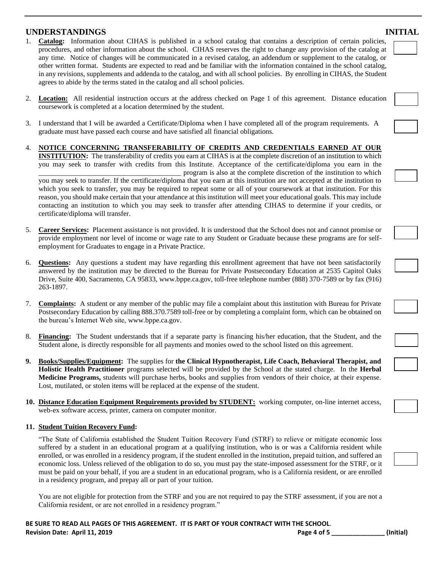## **UNDERSTANDINGS INITIAL**

- 1. **Catalog:** Information about CIHAS is published in a school catalog that contains a description of certain policies, procedures, and other information about the school. CIHAS reserves the right to change any provision of the catalog at any time. Notice of changes will be communicated in a revised catalog, an addendum or supplement to the catalog, or other written format. Students are expected to read and be familiar with the information contained in the school catalog, in any revisions, supplements and addenda to the catalog, and with all school policies. By enrolling in CIHAS, the Student agrees to abide by the terms stated in the catalog and all school policies.
- 2. **Location:** All residential instruction occurs at the address checked on Page 1 of this agreement. Distance education coursework is completed at a location determined by the student.
- 3. I understand that I will be awarded a Certificate/Diploma when I have completed all of the program requirements. A graduate must have passed each course and have satisfied all financial obligations.
- 4. **NOTICE CONCERNING TRANSFERABILITY OF CREDITS AND CREDENTIALS EARNED AT OUR INSTITUTION:** The transferability of credits you earn at CIHAS is at the complete discretion of an institution to which you may seek to transfer with credits from this Institute. Acceptance of the certificate/diploma you earn in the \_\_\_\_\_\_\_\_\_\_\_\_\_\_\_\_\_\_\_\_\_\_\_\_\_\_\_\_\_\_\_\_\_\_\_\_\_\_\_\_ program is also at the complete discretion of the institution to which you may seek to transfer. If the certificate/diploma that you earn at this institution are not accepted at the institution to which you seek to transfer, you may be required to repeat some or all of your coursework at that institution. For this reason, you should make certain that your attendance at this institution will meet your educational goals. This may include contacting an institution to which you may seek to transfer after attending CIHAS to determine if your credits, or certificate/diploma will transfer.
- 5. **Career Services:** Placement assistance is not provided. It is understood that the School does not and cannot promise or provide employment nor level of income or wage rate to any Student or Graduate because these programs are for selfemployment for Graduates to engage in a Private Practice.
- 6. **Questions:** Any questions a student may have regarding this enrollment agreement that have not been satisfactorily answered by the institution may be directed to the Bureau for Private Postsecondary Education at 2535 Capitol Oaks Drive, Suite 400, Sacramento, CA 95833, [www.bppe.ca.gov,](http://www.bppe.ca.gov/) toll-free telephone number (888) 370-7589 or by fax (916) 263-1897.
- 7. **Complaints:** A student or any member of the public may file a complaint about this institution with Bureau for Private Postsecondary Education by calling 888.370.7589 toll-free or by completing a complaint form, which can be obtained on the bureau's Internet Web site, [www.bppe.ca.gov.](http://www.bppe.ca.gov/)
- 8. **Financing:** The Student understands that if a separate party is financing his/her education, that the Student, and the Student alone, is directly responsible for all payments and monies owed to the school listed on this agreement.
- **9. Books/Supplies/Equipment:** The supplies for **the Clinical Hypnotherapist, Life Coach, Behavioral Therapist, and Holistic Health Practitioner** programs selected will be provided by the School at the stated charge. In the **Herbal Medicine Programs,** students will purchase herbs, books and supplies from vendors of their choice, at their expense. Lost, mutilated, or stolen items will be replaced at the expense of the student.
- **10. Distance Education Equipment Requirements provided by STUDENT:** working computer, on-line internet access, web-ex software access, printer, camera on computer monitor.

#### **11. Student Tuition Recovery Fund:**

"The State of California established the Student Tuition Recovery Fund (STRF) to relieve or mitigate economic loss suffered by a student in an educational program at a qualifying institution, who is or was a California resident while enrolled, or was enrolled in a residency program, if the student enrolled in the institution, prepaid tuition, and suffered an economic loss. Unless relieved of the obligation to do so, you must pay the state-imposed assessment for the STRF, or it must be paid on your behalf, if you are a student in an educational program, who is a California resident, or are enrolled in a residency program, and prepay all or part of your tuition.

You are not eligible for protection from the STRF and you are not required to pay the STRF assessment, if you are not a California resident, or are not enrolled in a residency program."

| ıge 4 of |  |
|----------|--|
|----------|--|